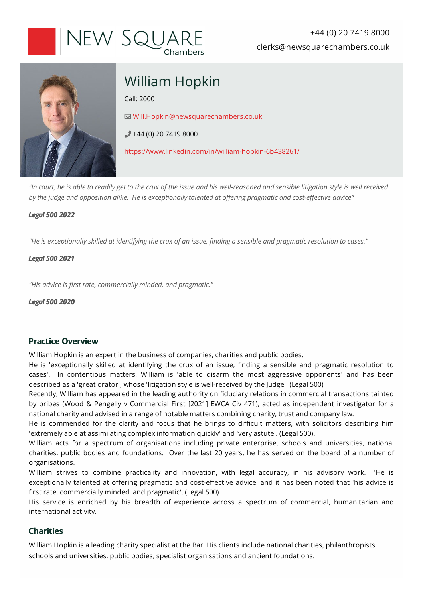



# William Hopkin

Call:2000

[Will.Hopkin@newsquarechambers.co.uk](mailto:Will.Hopkin@newsquarechambers.co.uk)

 $+44(0)$  20 7419 8000

<https://www.linkedin.com/in/william-hopkin-6b438261/>

*"Incourt,he isable toreadilyget tothe cruxof the issueandhis well-reasonedandsensible litigationstyle is well received by* the judge and opposition alike. He is exceptionally talented at offering pragmatic and cost-effective advice"

## *Legal5002022*

"He is exceptionally skilled at *identifying the crux of an issue, finding a sensible and pragmatic resolution to cases."* 

## *Legal5002021*

*"Hisadvice isfirst rate, commercially minded,andpragmatic."*

*Legal5002020*

# **Practice Overview**

William Hopkin is an expert in the business of companies, charities and public bodies.

He is 'exceptionally skilled at identifying the crux of an issue, finding a sensible and pragmatic resolution to cases'. In contentious matters, William is 'able to disarm the most aggressive opponents' and has been described as a 'great orator', whose 'litigation style is well-received by the Judge'. (Legal 500)

Recently, William has appeared in the leading authority on fiduciary relations in commercial transactions tainted by bribes (Wood & Pengelly v Commercial First [2021] EWCA Civ 471), acted as independent investigator for a national charity and advised in a range of notable matters combining charity, trust and company law.

He is commended for the clarity and focus that he brings to difficult matters, with solicitors describing him 'extremely able at assimilating complex information quickly' and 'very astute'. (Legal 500).

William acts for a spectrum of organisations including private enterprise, schools and universities, national charities, public bodies and foundations. Over the last 20 years, he has served on the board of a number of organisations.

William strives to combine practicality and innovation, with legal accuracy, in his advisory work. 'He is exceptionally talented at offering pragmatic and cost-effective advice' and it has been noted that 'his advice is first rate, commercially minded, and pragmatic'. (Legal 500)

His service is enriched by his breadth of experience across a spectrum of commercial, humanitarian and international activity.

# **Charities**

William Hopkin is a leading charity specialist at the Bar. His clients include national charities, philanthropists, schools and universities, public bodies, specialist organisations and ancient foundations.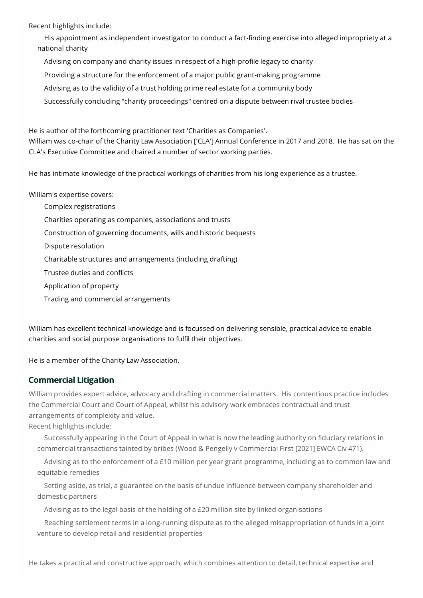Recent highlights include:

His appointment as independent investigator to conduct a fact-finding exercise into alleged impropriety at a national charity

Advising on company and charity issues in respect of a high-profile legacy to charity

Providing a structure for the enforcement of a major public grant-making programme

Advising as to the validity of a trust holding prime real estate for a community body

Successfully concluding "charity proceedings" centred on a dispute between rival trustee bodies

He is author of the forthcoming practitioner text 'Charities as Companies'.

William was co-chair of the Charity Law Association ['CLA'] Annual Conference in 2017 and 2018. He has sat on the CLA's Executive Committee and chaired a number of sector working parties.

He has intimate knowledge of the practical workings of charities from his long experience as a trustee.

William's expertise covers:

- Complex registrations Charities operating as companies, associations and trusts Construction ofgoverning documents, wills and historic bequests
- Dispute resolution
- Charitable structures and arrangements (including drafting)

Trustee duties and conflicts

Application of property

Trading and commercial arrangements

William has excellent technical knowledge and is focussed on delivering sensible, practical advice to enable charities and social purpose organisations to fulfil their objectives.

He is a member of the Charity Law Association.

## **Commercial Litigation**

William provides expert advice, advocacy and drafting in commercial matters. His contentious practice includes the Commercial Court and Court of Appeal, whilst his advisory work embraces contractual and trust arrangements of complexity and value.

Recent highlights include:

Successfully appearing in the Court of Appeal in what is now the leading authority on fiduciary relations in commercial transactions tainted by bribes (Wood & Pengelly v Commercial First [2021] EWCA Civ 471).

Advising as to the enforcement of a £10 million per year grant programme, including as to common law and equitable remedies

Setting aside, as trial, a guarantee on the basis of undue influence between company shareholder and domestic partners

Advising as to the legal basis of the holding of a  $E20$  million site by linked organisations

Reaching settlement terms in a long-running dispute as to the alleged misappropriation of funds in a joint venture to develop retail and residential properties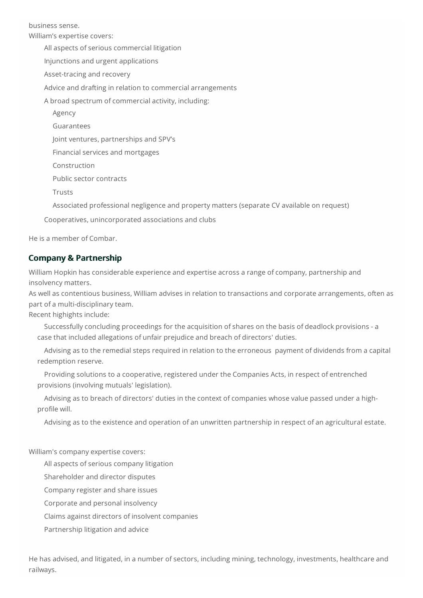business sense.

William's expertise covers: All aspects of serious commercial litigation Injunctions and urgent applications Asset-tracing and recovery Advice and drafting in relation to commercial arrangements A broad spectrum of commercial activity, including: Agency Guarantees Joint ventures, partnerships and SPV's Financial services and mortgages Construction Public sector contracts Trusts

Associated professional negligence and property matters (separate CV available on request)

Cooperatives, unincorporated associations and clubs

Heis a member of Combar.

## **Company & Partnership**

William Hopkin has considerable experience and expertise across a range of company, partnership and insolvency matters.

As well as contentious business, William advises in relation to transactions and corporate arrangements, often as part of a multi-disciplinary team.

Recent highights include:

Successfully concluding proceedings for the acquisition of shares on the basis of deadlock provisions - a casethat included allegations of unfair prejudiceand breach of directors' duties.

Advising as to the remedial steps required in relation to the erroneous payment of dividends from a capital redemption reserve.

Providing solutions to acooperative, registered under the Companies Acts, in respect ofentrenched provisions (involving mutuals' legislation).

Advising as to breach of directors' duties in the context of companies whose value passed under a highprofile will.

Advising as to the existence and operation of an unwritten partnership in respect of an agricultural estate.

William's company expertise covers:

All aspects of serious company litigation

Shareholder and director disputes

Company register and share issues

Corporate and personal insolvency

Claims against directors of insolvent companies

Partnership litigation and advice

He has advised, and litigated, in a number of sectors, including mining, technology, investments, healthcare and railways.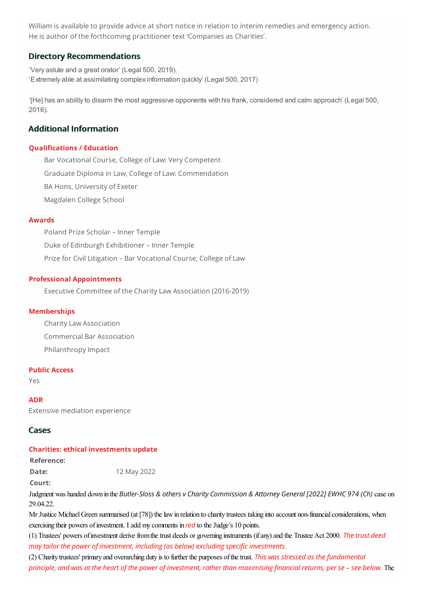William is available to provide advice at short notice in relation to interim remedies and emergency action. He is author of the forthcoming practitioner text 'Companies as Charities'.

## **Directory Recommendations**

'Very astute and a great orator' (Legal 500, 2019). 'Extremely able at assimilating complex information quickly' (Legal 500, 2017)

'[He] has an ability to disarm the most aggressive opponents with his frank, considered and calm approach' (Legal 500, 2016).

## **Additional Information**

#### **Qualifications / Education**

Bar Vocational Course, College of Law: Very Competent Graduate Diploma in Law, College of Law: Commendation BA Hons, University of Exeter Magdalen College School

#### **Awards**

Poland Prize Scholar – Inner Temple Duke of Edinburgh Exhibitioner – Inner Temple Prize for Civil Litigation – Bar Vocational Course, College of Law

#### **Professional Appointments**

Executive Committee of the CharityLaw Association (2016-2019)

#### **Memberships**

CharityLaw Association Commercial Bar Association Philanthropy Impact

#### **Public Access**

Yes

**ADR** Extensive mediation experience

#### **Cases**

#### **Charities: ethical investments update**

**Reference:**

**Date:** 12 May 2022

**Court:**

Judgment was handed down in the *Butler-Sloss & others v Charity Commission & Attorney General [2022] EWHC 974(Ch)* case on 29.04.22.

Mr Justice Michael Green summarised (at [78]) the law in relation to charity trustees taking into account non-financial considerations, when exercising their powers of investment. I add my comments in *red* to the Judge's 10 points.

(1) Trustees' powers ofinvestment derivefromthetrust deeds or governing instruments (ifany)and the TrusteeAct 2000. *The trustdeed may tailor the power of investment, including (as below) excluding specific investments.* 

(2) Charity trustees' primary and overarching duty is to further the purposes ofthetrust.*This was stressedas the fundamental principle, and was at the heart of the power of investment, rather than maximising financial returns, per se - see below. The*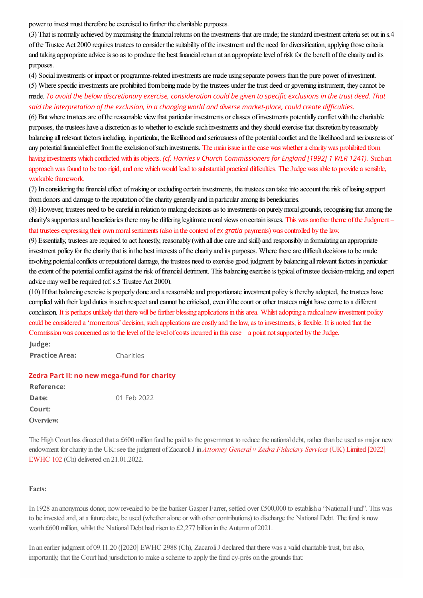power to invest must therefore be exercised to further the charitable purposes.

(3) That is normally achieved by maximising the financial returns on the investments that are made; the standard investment criteria set out in s.4 of the Trustee Act 2000 requires trustees to consider the suitability of the investment and the need for diversification; applying those criteria and taking appropriate advice is so as to produce the best financial return at an appropriate level of risk for the benefit of the charity and its purposes.

(4) Socialinvestments or impact or programme-related investmentsare made using separate powers than the pure power ofinvestment.

(5) Where specific investments are prohibited from being made by the trustees under the trust deed or governing instrument, they cannot be made.*Toavoidthebelow discretionaryexercise, considerationcouldbe giventospecificexclusions inthe trustdeed. That saidthe interpretationof the exclusion, inachanging worldanddiverse market-place, couldcreatedifficulties.*

(6) But where trustees are of the reasonable view that particular investments or classes of investments potentially conflict with the charitable purposes, the trustees have a discretion as to whether to exclude such investments and they should exercise that discretion by reasonably balancing all relevant factors including, in particular, the likelihood and seriousness of the potential conflict and the likelihood and seriousness of any potential financial effect from the exclusion of such investments. The main issue in the case was whether a charity was prohibited from having investments which conflicted with its objects. *(cf. Harries v Church Commissioners forEngland[1992] 1 WLR1241).* Such an approach was found to be too rigid, and one which would lead to substantial practical difficulties. The Judge was able to provide a sensible, workable framework.

(7) In considering the financial effect of making or excluding certain investments, the trustees can take into account the risk of losing support from donors and damage to the reputation of the charity generally and in particular among its beneficiaries.

(8) However, trustees need to be careful in relation to making decisions as to investments on purely moral grounds, recognising that among the charity's supporters and beneficiaries there may be differing legitimate moral views on certain issues. This was another theme of the Judgment – that trusteesexpressing their ownmoralsentiments (also in thecontext of*ex gratia* payments) wascontrolled by thelaw.

(9) Essentially, trustees are required to act honestly, reasonably (with all due care and skill) and responsibly in formulating an appropriate investment policy for the charity that is in the best interests of the charity and its purposes. Where there are difficult decisions to be made involving potential conflicts or reputational damage, the trustees need to exercise good judgment by balancing all relevant factors in particular the extent of the potential conflict against the risk of financial detriment. This balancing exercise is typical of trustee decision-making, and expert advice may well be required (cf. s.5 Trustee Act 2000).

(10) If that balancing exercise is properly done and a reasonable and proportionate investment policy is thereby adopted, the trustees have complied with their legal duties in such respect and cannot be criticised, even if the court or other trustees might have come to a different conclusion. It is perhaps unlikely that there will be further blessing applications in this area. Whilst adopting a radical new investment policy could be considered a 'momentous' decision, such applications are costly and the law, as to investments, is flexible. It is noted that the Commission was concerned as to the level of the level of costs incurred in this case – a point not supported by the Judge. **Judge:**

**Practice Area:** Charities

## **Zedra Part II: no new mega-fund forcharity**

| Reference: |             |
|------------|-------------|
| Date:      | 01 Feb 2022 |
| Court:     |             |
| Overview:  |             |

The High Court has directed that a £600 million fund be paid to the government to reduce the national debt, rather than be used as major new endowment forcharity in the [UK:seethejudgment](https://www.bailii.org/ew/cases/EWHC/Ch/2022/102.html) of ZacaroliJ in *Attorney Generalv Zedra Fiduciary Services* (UK) Limited [2022] EWHC 102 (Ch) delivered on 21.01.2022.

#### **Facts:**

In 1928 an anonymous donor, now revealed to be the banker Gasper Farrer, settled over £500,000 to establish a "National Fund". This was to be invested and, at a future date, be used (whether alone or with other contributions) to discharge the National Debt. The fund is now worth £600 million, whilst the National Debt had risen to £2,277 billion in the Autumn of 2021.

In an earlier judgment of 09.11.20 ([2020] EWHC 2988 (Ch), Zacaroli J declared that there was a valid charitable trust, but also, importantly, that the Court had jurisdiction to makeaschemeto apply thefund cy-près on the grounds that: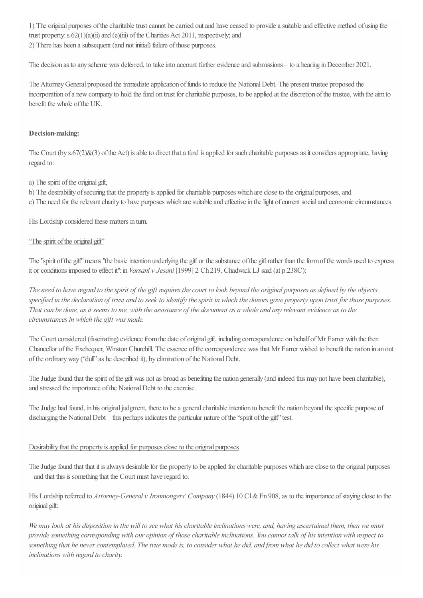1) The original purposes of the charitable trust cannot be carried out and have ceased to provide a suitable and effective method of using the trust property:  $s.62(1)(a)(ii)$  and (e)(iii) of the Charities Act 2011, respectively; and 2) There has been a subsequent (and not initial) failure of those purposes.

The decision as to any scheme was deferred, to take into account further evidence and submissions – to a hearing in December 2021.

The Attorney General proposed the immediate application of funds to reduce the National Debt. The present trustee proposed the incorporation of a new company to hold the fund on trust for charitable purposes, to be applied at the discretion of the trustee, with the aim to benefit the whole of the UK.

## **Decision-making:**

The Court (by  $s.67(2)\&(3)$  of the Act) is able to direct that a fund is applied for such charitable purposes as it considers appropriate, having regard to:

a) The spirit of the original gift,

b) The desirability of securing that the property is applied for charitable purposes which are close to the original purposes, and c) The need for the relevant charity to have purposes which are suitable and effective in the light of current social and economic circumstances.

His Lordship considered these matters in turn.

## "The spirit of the original gift"

The "spirit of the gift" means "the basic intention underlying the gift or the substance of the gift rather than the form of the words used to express it orconditions imposed to effect it":in *Varsaniv Jesani* [1999] 2 Ch 219, Chadwick LJ said (at p.238C):

The need to have regard to the spirit of the gift requires the court to look beyond the original purposes as defined by the objects specified in the declaration of trust and to seek to identify the spirit in which the donors gave property upon trust for those purposes. That can be done, as it seems to me, with the assistance of the document as a whole and any relevant evidence as to the *circumstances in which the gift was made.*

The Court considered (fascinating) evidence from the date of original gift, including correspondence on behalf of Mr Farrer with the then Chancellor of the Exchequer, Winston Churchill. The essence of the correspondence was that Mr Farrer wished to benefit the nation in an out of the ordinary way ("dull" as he described it), by elimination of the National Debt.

The Judge found that the spirit of the gift was not as broad as benefiting the nation generally (and indeed this may not have been charitable), and stressed the importance of the National Debt to the exercise.

The Judge had found, in his original judgment, there to be a general charitable intention to benefit the nation beyond the specific purpose of discharging the National Debt – this perhaps indicates the particular nature of the "spirit of the gift" test.

## Desirability that the property is applied for purposes close to the original purposes

The Judge found that that it is always desirable for the property to be applied for charitable purposes which are close to the original purposes – and that this is something that the Court must have regard to.

His Lordship referred to *Attorney-General v Ironmongers' Company* (1844) 10 Cl & Fn 908, as to the importance of staying close to the original gift:

We may look at his disposition in the will to see what his charitable inclinations were, and, having ascertained them, then we must provide something corresponding with our opinion of those charitable inclinations. You cannot talk of his intention with respect to something that he never contemplated. The true mode is, to consider what he did, and from what he did to collect what were his *inclinations with regard to charity.*